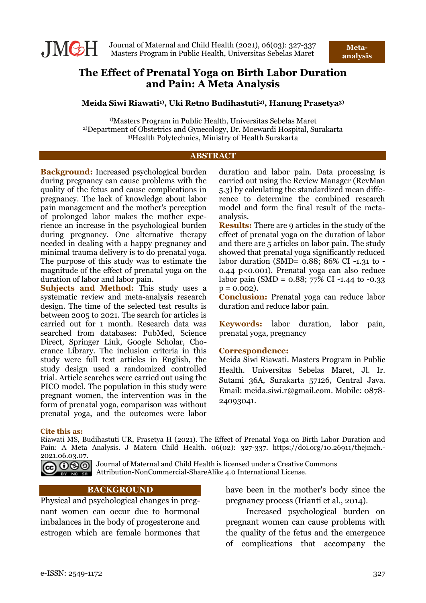

# **The Effect of Prenatal Yoga on Birth Labor Duration and Pain: A Meta Analysis**

### **Meida Siwi Riawati1) , Uki Retno Budihastuti2) , Hanung Prasetya3)**

1)Masters Program in Public Health, Universitas Sebelas Maret 2)Department of Obstetrics and Gynecology, Dr. Moewardi Hospital, Surakarta 3)Health Polytechnics, Ministry of Health Surakarta

#### **ABSTRACT**

**Background:** Increased psychological burden during pregnancy can cause problems with the quality of the fetus and cause complications in pregnancy. The lack of knowledge about labor pain management and the mother's perception of prolonged labor makes the mother experience an increase in the psychological burden during pregnancy. One alternative therapy needed in dealing with a happy pregnancy and minimal trauma delivery is to do prenatal yoga. The purpose of this study was to estimate the magnitude of the effect of prenatal yoga on the duration of labor and labor pain.

**Subjects and Method:** This study uses a systematic review and meta-analysis research design. The time of the selected test results is between 2005 to 2021. The search for articles is carried out for 1 month. Research data was searched from databases: PubMed, Science Direct, Springer Link, Google Scholar, Chocrance Library. The inclusion criteria in this study were full text articles in English, the study design used a randomized controlled trial. Article searches were carried out using the PICO model. The population in this study were pregnant women, the intervention was in the form of prenatal yoga, comparison was without prenatal yoga, and the outcomes were labor

duration and labor pain. Data processing is carried out using the Review Manager (RevMan 5.3) by calculating the standardized mean difference to determine the combined research model and form the final result of the metaanalysis.

**Results:** There are 9 articles in the study of the effect of prenatal yoga on the duration of labor and there are 5 articles on labor pain. The study showed that prenatal yoga significantly reduced labor duration (SMD= 0.88; 86% CI -1.31 to - 0.44 p<0.001). Prenatal yoga can also reduce labor pain (SMD =  $0.88$ ; 77% CI -1.44 to -0.33  $p = 0.002$ ).

**Conclusion:** Prenatal yoga can reduce labor duration and reduce labor pain.

**Keywords:** labor duration, labor pain, prenatal yoga, pregnancy

### **Correspondence:**

Meida Siwi Riawati. Masters Program in Public Health. Universitas Sebelas Maret, Jl. Ir. Sutami 36A, Surakarta 57126, Central Java. Email: meida.siwi.r@gmail.com. Mobile: 0878- 24093041.

#### **Cite this as:**

Riawati MS, Budihastuti UR, Prasetya H (2021). The Effect of Prenatal Yoga on Birth Labor Duration and Pain: A Meta Analysis. J Matern Child Health. 06(02): 327-337. https://doi.org/10.26911/thejmch.- 2021.06.03.07.



GO OSO Journal of Maternal and Child Health is licensed under a Creative Commons **EX NO SET Attribution-NonCommercial-ShareAlike 4.0 International License.** 

### **BACKGROUND**

Physical and psychological changes in pregnant women can occur due to hormonal imbalances in the body of progesterone and estrogen which are female hormones that have been in the mother's body since the pregnancy process (Irianti et al., 2014).

Increased psychological burden on pregnant women can cause problems with the quality of the fetus and the emergence of complications that accompany the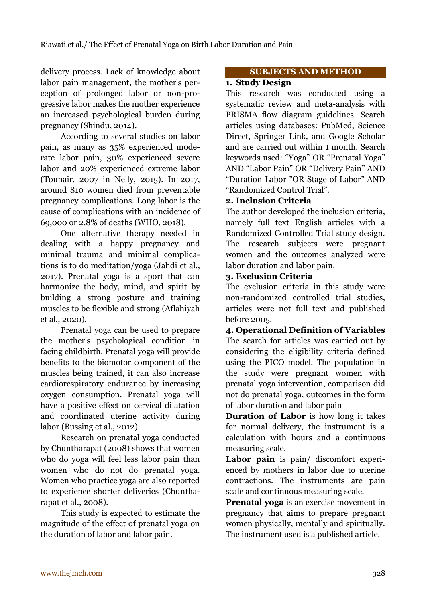delivery process. Lack of knowledge about labor pain management, the mother's perception of prolonged labor or non-progressive labor makes the mother experience an increased psychological burden during pregnancy (Shindu, 2014).

According to several studies on labor pain, as many as 35% experienced moderate labor pain, 30% experienced severe labor and 20% experienced extreme labor (Tounair, 2007 in Nelly, 2015). In 2017, around 810 women died from preventable pregnancy complications. Long labor is the cause of complications with an incidence of 69,000 or 2.8% of deaths (WHO, 2018).

One alternative therapy needed in dealing with a happy pregnancy and minimal trauma and minimal complications is to do meditation/yoga (Jahdi et al., 2017). Prenatal yoga is a sport that can harmonize the body, mind, and spirit by building a strong posture and training muscles to be flexible and strong (Aflahiyah et al., 2020).

Prenatal yoga can be used to prepare the mother's psychological condition in facing childbirth. Prenatal yoga will provide benefits to the biomotor component of the muscles being trained, it can also increase cardiorespiratory endurance by increasing oxygen consumption. Prenatal yoga will have a positive effect on cervical dilatation and coordinated uterine activity during labor (Bussing et al., 2012).

Research on prenatal yoga conducted by Chuntharapat (2008) shows that women who do yoga will feel less labor pain than women who do not do prenatal yoga. Women who practice yoga are also reported to experience shorter deliveries (Chuntharapat et al., 2008).

This study is expected to estimate the magnitude of the effect of prenatal yoga on the duration of labor and labor pain.

### **SUBJECTS AND METHOD**

# **1. Study Design**

This research was conducted using a systematic review and meta-analysis with PRISMA flow diagram guidelines. Search articles using databases: PubMed, Science Direct, Springer Link, and Google Scholar and are carried out within 1 month. Search keywords used: "Yoga" OR "Prenatal Yoga" AND "Labor Pain" OR "Delivery Pain" AND "Duration Labor "OR Stage of Labor" AND "Randomized Control Trial".

# **2. Inclusion Criteria**

The author developed the inclusion criteria, namely full text English articles with a Randomized Controlled Trial study design. The research subjects were pregnant women and the outcomes analyzed were labor duration and labor pain.

# **3. Exclusion Criteria**

The exclusion criteria in this study were non-randomized controlled trial studies, articles were not full text and published before 2005.

**4. Operational Definition of Variables** The search for articles was carried out by considering the eligibility criteria defined using the PICO model. The population in the study were pregnant women with prenatal yoga intervention, comparison did not do prenatal yoga, outcomes in the form of labor duration and labor pain

**Duration of Labor** is how long it takes for normal delivery, the instrument is a calculation with hours and a continuous measuring scale.

**Labor pain** is pain/ discomfort experienced by mothers in labor due to uterine contractions. The instruments are pain scale and continuous measuring scale.

**Prenatal yoga** is an exercise movement in pregnancy that aims to prepare pregnant women physically, mentally and spiritually. The instrument used is a published article.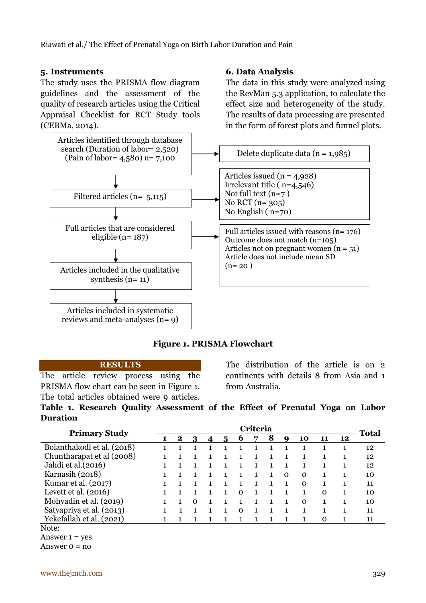### **5. Instruments**

The study uses the PRISMA flow diagram guidelines and the assessment of the quality of research articles using the Critical Appraisal Checklist for RCT Study tools (CEBMa, 2014).



# **Figure 1. PRISMA Flowchart**

#### **RESULTS**

The article review process using the PRISMA flow chart can be seen in Figure 1. The total articles obtained were 9 articles. The distribution of the article is on 2 continents with details 8 from Asia and 1 from Australia.

|                 |  | Table 1. Research Quality Assessment of the Effect of Prenatal Yoga on Labor |  |  |  |  |
|-----------------|--|------------------------------------------------------------------------------|--|--|--|--|
| <b>Duration</b> |  |                                                                              |  |  |  |  |

| <b>Primary Study</b>       |  | Criteria |   |  |   |   |   |   |          |          |    |    | <b>Total</b> |
|----------------------------|--|----------|---|--|---|---|---|---|----------|----------|----|----|--------------|
|                            |  | $\bf{2}$ | 3 |  | 5 | b | 7 | 8 | Q        | 10       | 11 | 12 |              |
| Bolanthakodi et al. (2018) |  |          |   |  |   |   |   |   |          |          |    |    | 12           |
| Chuntharapat et al (2008)  |  |          |   |  |   |   |   |   |          |          |    |    | 12           |
| Jahdi et al.(2016)         |  |          |   |  |   |   |   |   |          |          |    |    | 12           |
| Karnasih (2018)            |  |          |   |  |   |   |   |   | $\Omega$ | $\Omega$ |    |    | 10           |
| Kumar et al. (2017)        |  |          |   |  |   |   |   |   |          | $\Omega$ |    |    | 11           |
| Levett et al. $(2016)$     |  |          |   |  |   | ∩ |   |   |          |          | 0  |    | 10           |
| Mohyadin et al. (2019)     |  |          | ∩ |  |   |   |   |   |          | Ω        |    |    | 10           |
| Satyapriya et al. (2013)   |  |          |   |  |   | ∩ |   |   |          |          |    |    | 11           |
| Yekefallah et al. (2021)   |  |          |   |  |   |   |   |   |          |          | 0  |    | 11           |
| $N_{\alpha+\alpha}$        |  |          |   |  |   |   |   |   |          |          |    |    |              |

Note:

Answer  $1 = ves$ 

Answer  $o = no$ 

# **6. Data Analysis**

The data in this study were analyzed using the RevMan 5.3 application, to calculate the effect size and heterogeneity of the study. The results of data processing are presented in the form of forest plots and funnel plots.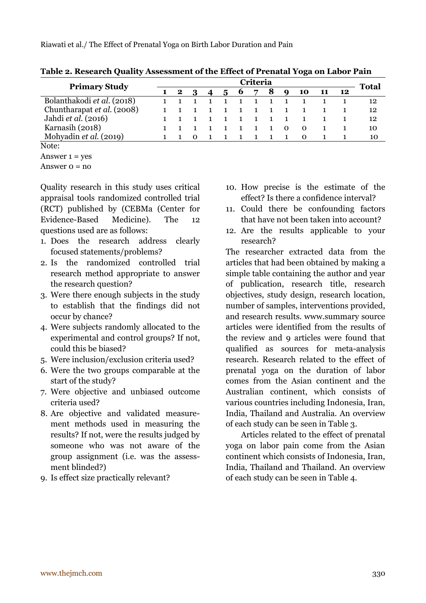|                            | Criteria |  |  |  |  |   |   |   |             |          |    |    |              |
|----------------------------|----------|--|--|--|--|---|---|---|-------------|----------|----|----|--------------|
| <b>Primary Study</b>       |          |  |  |  |  | o | ∍ | 8 | $\mathbf Q$ | 10       | 11 | 12 | <b>Total</b> |
| Bolanthakodi et al. (2018) |          |  |  |  |  |   |   |   |             |          |    |    | 12           |
| Chuntharapat et al. (2008) |          |  |  |  |  |   |   |   |             |          |    |    | 12           |
| Jahdi et al. (2016)        |          |  |  |  |  |   |   |   |             |          |    |    | 12           |
| Karnasih (2018)            |          |  |  |  |  |   |   |   | $\Omega$    | $\Omega$ |    |    | 10           |
| Mohyadin et al. (2019)     |          |  |  |  |  |   |   |   |             |          |    |    | 10           |
| $N \cap$ to.               |          |  |  |  |  |   |   |   |             |          |    |    |              |

**Table 2. Research Quality Assessment of the Effect of Prenatal Yoga on Labor Pain**

Answer  $1 = yes$ 

Answer  $o = no$ 

Quality research in this study uses critical appraisal tools randomized controlled trial (RCT) published by (CEBMa (Center for Evidence-Based Medicine). The 12 questions used are as follows:

- 1. Does the research address clearly focused statements/problems?
- 2. Is the randomized controlled trial research method appropriate to answer the research question?
- 3. Were there enough subjects in the study to establish that the findings did not occur by chance?
- 4. Were subjects randomly allocated to the experimental and control groups? If not, could this be biased?
- 5. Were inclusion/exclusion criteria used?
- 6. Were the two groups comparable at the start of the study?
- 7. Were objective and unbiased outcome criteria used?
- 8. Are objective and validated measurement methods used in measuring the results? If not, were the results judged by someone who was not aware of the group assignment (i.e. was the assessment blinded?)
- 9. Is effect size practically relevant?
- 10. How precise is the estimate of the effect? Is there a confidence interval?
- 11. Could there be confounding factors that have not been taken into account?
- 12. Are the results applicable to your research?

The researcher extracted data from the articles that had been obtained by making a simple table containing the author and year of publication, research title, research objectives, study design, research location, number of samples, interventions provided, and research results. www.summary source articles were identified from the results of the review and 9 articles were found that qualified as sources for meta-analysis research. Research related to the effect of prenatal yoga on the duration of labor comes from the Asian continent and the Australian continent, which consists of various countries including Indonesia, Iran, India, Thailand and Australia. An overview of each study can be seen in Table 3.

Articles related to the effect of prenatal yoga on labor pain come from the Asian continent which consists of Indonesia, Iran, India, Thailand and Thailand. An overview of each study can be seen in Table 4.

Note: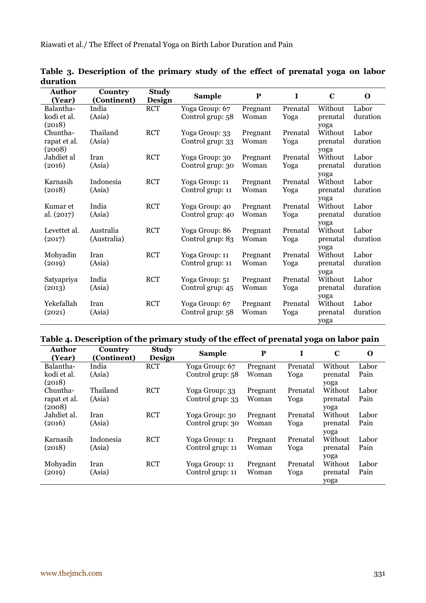| <b>Author</b> | Country     | <b>Study</b>  | <b>Sample</b>    | P        | $\mathbf I$ | $\mathbf C$ | $\Omega$ |
|---------------|-------------|---------------|------------------|----------|-------------|-------------|----------|
| (Year)        | (Continent) | <b>Design</b> |                  |          |             |             |          |
| Balantha-     | India       | <b>RCT</b>    | Yoga Group: 67   | Pregnant | Prenatal    | Without     | Labor    |
| kodi et al.   | (Asia)      |               | Control grup: 58 | Woman    | Yoga        | prenatal    | duration |
| (2018)        |             |               |                  |          |             | yoga        |          |
| Chuntha-      | Thailand    | <b>RCT</b>    | Yoga Group: 33   | Pregnant | Prenatal    | Without     | Labor    |
| rapat et al.  | (Asia)      |               | Control grup: 33 | Woman    | Yoga        | prenatal    | duration |
| (2008)        |             |               |                  |          |             | yoga        |          |
| Jahdiet al    | Iran        | <b>RCT</b>    | Yoga Group: 30   | Pregnant | Prenatal    | Without     | Labor    |
| (2016)        | (Asia)      |               | Control grup: 30 | Woman    | Yoga        | prenatal    | duration |
|               |             |               |                  |          |             | yoga        |          |
| Karnasih      | Indonesia   | <b>RCT</b>    | Yoga Group: 11   | Pregnant | Prenatal    | Without     | Labor    |
| (2018)        | (Asia)      |               | Control grup: 11 | Woman    | Yoga        | prenatal    | duration |
|               |             |               |                  |          |             | yoga        |          |
| Kumar et      | India       | <b>RCT</b>    | Yoga Group: 40   | Pregnant | Prenatal    | Without     | Labor    |
| al. (2017)    | (Asia)      |               | Control grup: 40 | Woman    | Yoga        | prenatal    | duration |
|               |             |               |                  |          |             | yoga        |          |
| Levettet al.  | Australia   | <b>RCT</b>    | Yoga Group: 86   | Pregnant | Prenatal    | Without     | Labor    |
| (2017)        | (Australia) |               | Control grup: 83 | Woman    | Yoga        | prenatal    | duration |
|               |             |               |                  |          |             | yoga        |          |
| Mohyadin      | Iran        | <b>RCT</b>    | Yoga Group: 11   | Pregnant | Prenatal    | Without     | Labor    |
| (2019)        | (Asia)      |               | Control grup: 11 | Woman    | Yoga        | prenatal    | duration |
|               |             |               |                  |          |             | yoga        |          |
| Satyapriya    | India       | <b>RCT</b>    | Yoga Group: 51   | Pregnant | Prenatal    | Without     | Labor    |
| (2013)        | (Asia)      |               | Control grup: 45 | Woman    | Yoga        | prenatal    | duration |
|               |             |               |                  |          |             | yoga        |          |
| Yekefallah    | Iran        | <b>RCT</b>    | Yoga Group: 67   | Pregnant | Prenatal    | Without     | Labor    |
| (2021)        | (Asia)      |               | Control grup: 58 | Woman    | Yoga        | prenatal    | duration |
|               |             |               |                  |          |             | yoga        |          |

**Table 3. Description of the primary study of the effect of prenatal yoga on labor duration** 

# **Table 4. Description of the primary study of the effect of prenatal yoga on labor pain**

| Author<br>(Year) | Country<br>(Continent) | <b>Study</b><br><b>Design</b> | <b>Sample</b>    | P        | I        | $\mathbf C$ | O     |
|------------------|------------------------|-------------------------------|------------------|----------|----------|-------------|-------|
| Balantha-        | India                  | <b>RCT</b>                    | Yoga Group: 67   | Pregnant | Prenatal | Without     | Labor |
| kodi et al.      | (Asia)                 |                               | Control grup: 58 | Woman    | Yoga     | prenatal    | Pain  |
| (2018)           |                        |                               |                  |          |          | yoga        |       |
| Chuntha-         | Thailand               | <b>RCT</b>                    | Yoga Group: 33   | Pregnant | Prenatal | Without     | Labor |
| rapat et al.     | (Asia)                 |                               | Control grup: 33 | Woman    | Yoga     | prenatal    | Pain  |
| (2008)           |                        |                               |                  |          |          | yoga        |       |
| Jahdiet al.      | Iran                   | <b>RCT</b>                    | Yoga Group: 30   | Pregnant | Prenatal | Without     | Labor |
| (2016)           | (Asia)                 |                               | Control grup: 30 | Woman    | Yoga     | prenatal    | Pain  |
|                  |                        |                               |                  |          |          | yoga        |       |
| Karnasih         | Indonesia              | <b>RCT</b>                    | Yoga Group: 11   | Pregnant | Prenatal | Without     | Labor |
| (2018)           | (Asia)                 |                               | Control grup: 11 | Woman    | Yoga     | prenatal    | Pain  |
|                  |                        |                               |                  |          |          | yoga        |       |
| Mohyadin         | Iran                   | <b>RCT</b>                    | Yoga Group: 11   | Pregnant | Prenatal | Without     | Labor |
| (2019)           | (Asia)                 |                               | Control grup: 11 | Woman    | Yoga     | prenatal    | Pain  |
|                  |                        |                               |                  |          |          | yoga        |       |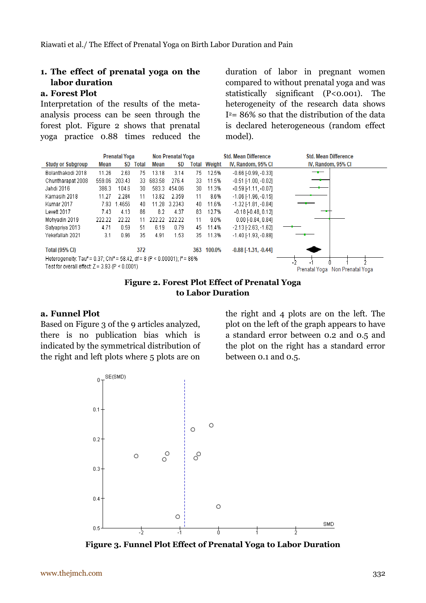# **1. The effect of prenatal yoga on the labor duration**

# **a. Forest Plot**

Interpretation of the results of the metaanalysis process can be seen through the forest plot. Figure 2 shows that prenatal yoga practice 0.88 times reduced the

duration of labor in pregnant women compared to without prenatal yoga and was statistically significant (P<0.001). The heterogeneity of the research data shows I <sup>2</sup>= 86% so that the distribution of the data is declared heterogeneous (random effect model).





### **a. Funnel Plot**

Based on Figure 3 of the 9 articles analyzed, there is no publication bias which is indicated by the symmetrical distribution of the right and left plots where 5 plots are on

the right and 4 plots are on the left. The plot on the left of the graph appears to have a standard error between 0.2 and 0.5 and the plot on the right has a standard error between 0.1 and 0.5.



**Figure 3. Funnel Plot Effect of Prenatal Yoga to Labor Duration**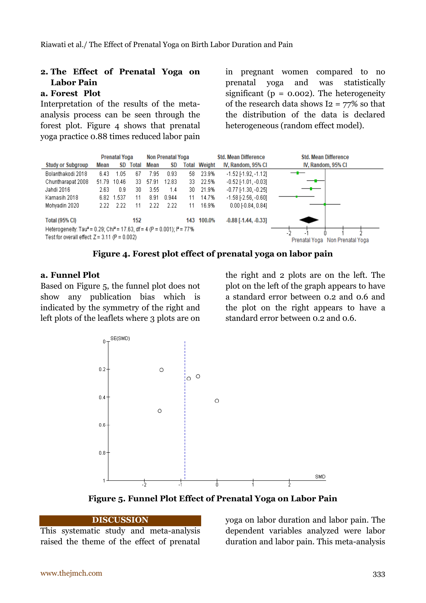# **2. The Effect of Prenatal Yoga on Labor Pain**

# **a.** Forest Plot

Interpretation of the results of the metaanalysis process can be seen through the forest plot. Figure 4 shows that prenatal yoga practice 0.88 times reduced labor pain in pregnant women compared to no prenatal yoga and was statistically significant ( $p = 0.002$ ). The heterogeneity of the research data shows  $I2 = 77\%$  so that the distribution of the data is declared heterogeneous (random effect model).



**Figure 4. Forest plot effect of prenatal yoga on labor pain**

# **a. Funnel Plot**

Based on Figure 5, the funnel plot does not show any publication bias which is indicated by the symmetry of the right and left plots of the leaflets where 3 plots are on

the right and 2 plots are on the left. The plot on the left of the graph appears to have a standard error between 0.2 and 0.6 and the plot on the right appears to have a standard error between 0.2 and 0.6.



**Figure 5. Funnel Plot Effect of Prenatal Yoga on Labor Pain**

### **DISCUSSION**

This systematic study and meta-analysis raised the theme of the effect of prenatal

yoga on labor duration and labor pain. The dependent variables analyzed were labor duration and labor pain. This meta-analysis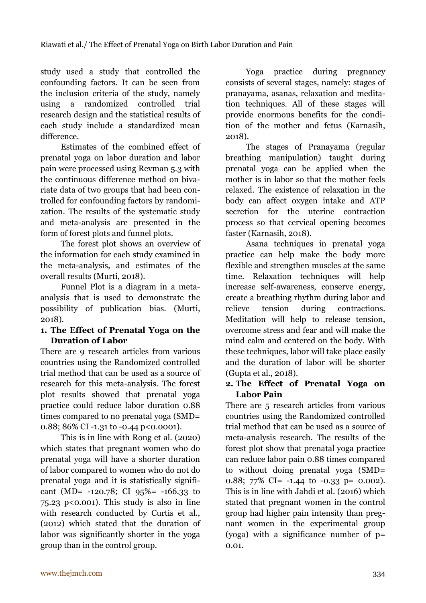study used a study that controlled the confounding factors. It can be seen from the inclusion criteria of the study, namely using a randomized controlled trial research design and the statistical results of each study include a standardized mean difference.

Estimates of the combined effect of prenatal yoga on labor duration and labor pain were processed using Revman 5.3 with the continuous difference method on bivariate data of two groups that had been controlled for confounding factors by randomization. The results of the systematic study and meta-analysis are presented in the form of forest plots and funnel plots.

The forest plot shows an overview of the information for each study examined in the meta-analysis, and estimates of the overall results (Murti, 2018).

Funnel Plot is a diagram in a metaanalysis that is used to demonstrate the possibility of publication bias. (Murti, 2018).

# **1. The Effect of Prenatal Yoga on the Duration of Labor**

There are 9 research articles from various countries using the Randomized controlled trial method that can be used as a source of research for this meta-analysis. The forest plot results showed that prenatal yoga practice could reduce labor duration 0.88 times compared to no prenatal yoga (SMD= 0.88; 86% CI -1.31 to -0.44 p<0.0001).

This is in line with Rong et al. (2020) which states that pregnant women who do prenatal yoga will have a shorter duration of labor compared to women who do not do prenatal yoga and it is statistically significant (MD= -120.78; CI 95%= -166.33 to  $75.23$  p<0.001). This study is also in line with research conducted by Curtis et al., (2012) which stated that the duration of labor was significantly shorter in the yoga group than in the control group.

Yoga practice during pregnancy consists of several stages, namely: stages of pranayama, asanas, relaxation and meditation techniques. All of these stages will provide enormous benefits for the condition of the mother and fetus (Karnasih, 2018).

The stages of Pranayama (regular breathing manipulation) taught during prenatal yoga can be applied when the mother is in labor so that the mother feels relaxed. The existence of relaxation in the body can affect oxygen intake and ATP secretion for the uterine contraction process so that cervical opening becomes faster (Karnasih, 2018).

Asana techniques in prenatal yoga practice can help make the body more flexible and strengthen muscles at the same time. Relaxation techniques will help increase self-awareness, conserve energy, create a breathing rhythm during labor and relieve tension during contractions. Meditation will help to release tension, overcome stress and fear and will make the mind calm and centered on the body. With these techniques, labor will take place easily and the duration of labor will be shorter (Gupta et al., 2018).

# **2. The Effect of Prenatal Yoga on Labor Pain**

There are 5 research articles from various countries using the Randomized controlled trial method that can be used as a source of meta-analysis research. The results of the forest plot show that prenatal yoga practice can reduce labor pain 0.88 times compared to without doing prenatal yoga (SMD= 0.88;  $77\%$  CI= -1.44 to -0.33 p= 0.002). This is in line with Jahdi et al. (2016) which stated that pregnant women in the control group had higher pain intensity than pregnant women in the experimental group (yoga) with a significance number of p= 0.01.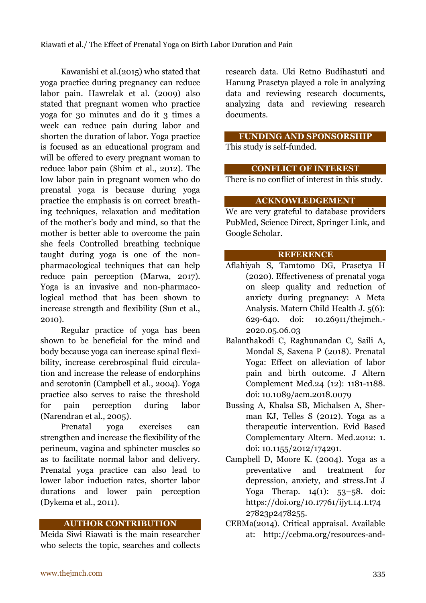Kawanishi et al.(2015) who stated that yoga practice during pregnancy can reduce labor pain. Hawrelak et al. (2009) also stated that pregnant women who practice yoga for 30 minutes and do it 3 times a week can reduce pain during labor and shorten the duration of labor. Yoga practice is focused as an educational program and will be offered to every pregnant woman to reduce labor pain (Shim et al., 2012). The low labor pain in pregnant women who do prenatal yoga is because during yoga practice the emphasis is on correct breathing techniques, relaxation and meditation of the mother's body and mind, so that the mother is better able to overcome the pain she feels Controlled breathing technique taught during yoga is one of the nonpharmacological techniques that can help reduce pain perception (Marwa, 2017). Yoga is an invasive and non-pharmacological method that has been shown to increase strength and flexibility (Sun et al., 2010).

Regular practice of yoga has been shown to be beneficial for the mind and body because yoga can increase spinal flexibility, increase cerebrospinal fluid circulation and increase the release of endorphins and serotonin (Campbell et al., 2004). Yoga practice also serves to raise the threshold for pain perception during labor (Narendran et al., 2005).

Prenatal yoga exercises can strengthen and increase the flexibility of the perineum, vagina and sphincter muscles so as to facilitate normal labor and delivery. Prenatal yoga practice can also lead to lower labor induction rates, shorter labor durations and lower pain perception (Dykema et al., 2011).

# **AUTHOR CONTRIBUTION**

Meida Siwi Riawati is the main researcher who selects the topic, searches and collects research data. Uki Retno Budihastuti and Hanung Prasetya played a role in analyzing data and reviewing research documents, analyzing data and reviewing research documents.

### **FUNDING AND SPONSORSHIP** This study is self-funded.

### **CONFLICT OF INTEREST**

There is no conflict of interest in this study.

### **ACKNOWLEDGEMENT**

We are very grateful to database providers PubMed, Science Direct, Springer Link, and Google Scholar.

### **REFERENCE**

- Aflahiyah S, Tamtomo DG, Prasetya H (2020). Effectiveness of prenatal yoga on sleep quality and reduction of anxiety during pregnancy: A Meta Analysis. Matern Child Health J. 5(6): 629-640. doi: [10.26911/thejmch.-](https://doi.org/10.26911/thejmch.2020.05.06.03) [2020.05.06.03](https://doi.org/10.26911/thejmch.2020.05.06.03)
- Balanthakodi C, Raghunandan C, Saili A, Mondal S, Saxena P (2018). Prenatal Yoga: Effect on alleviation of labor pain and birth outcome. J Altern Complement Med.24 (12): 1181-1188. doi: 10.1089/acm.2018.0079
- Bussing A, Khalsa SB, Michalsen A, Sherman KJ, Telles S (2012). Yoga as a therapeutic intervention. Evid Based Complementary Altern. Med.2012: 1. doi: 10.1155/2012/174291.
- Campbell D, Moore K. (2004). Yoga as a preventative and treatment for depression, anxiety, and stress.Int J Yoga Therap. 14(1): 53–58. doi: https://doi.org/10.17761/ijyt.14.1.t74 27823p2478255.
- CEBMa(2014). Critical appraisal. Available at: http://cebma.org/resources-and-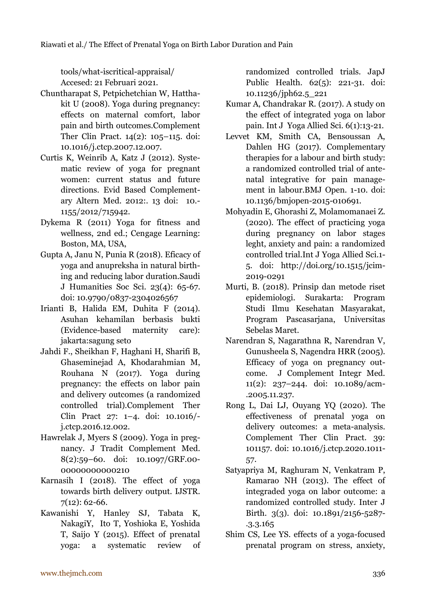tools/what-iscritical-appraisal/ Accesed: 21 Februari 2021.

- Chuntharapat S, Petpichetchian W, Hatthakit U (2008). Yoga during pregnancy: effects on maternal comfort, labor pain and birth outcomes.Complement Ther Clin Pract. 14(2): 105–115. doi: 10.1016/j.ctcp.2007.12.007.
- Curtis K, Weinrib A, Katz J (2012). Systematic review of yoga for pregnant women: current status and future directions. Evid Based Complementary Altern Med. 2012:. 13 doi: 10.- 1155/2012/715942.
- Dykema R (2011) Yoga for fitness and wellness, 2nd ed.; Cengage Learning: Boston, MA, USA,
- Gupta A, Janu N, Punia R (2018). Eficacy of yoga and anupreksha in natural birthing and reducing labor duration.Saudi J Humanities Soc Sci. 23(4): 65-67. doi: 10.9790/0837-2304026567
- Irianti B, Halida EM, Duhita F (2014). Asuhan kehamilan berbasis bukti (Evidence-based maternity care): jakarta:sagung seto
- Jahdi F., Sheikhan F, Haghani H, Sharifi B, Ghaseminejad A, Khodarahmian M, Rouhana N (2017). Yoga during pregnancy: the effects on labor pain and delivery outcomes (a randomized controlled trial).Complement Ther Clin Pract 27: 1–4. doi: 10.1016/ j.ctcp.2016.12.002.
- Hawrelak J, Myers S (2009). Yoga in pregnancy. J Tradit Complement Med. 8(2):59–60. doi: 10.1097/GRF.00- 00000000000210
- Karnasih I (2018). The effect of yoga towards birth delivery output. IJSTR. 7(12): 62-66.
- Kawanishi Y, Hanley SJ, Tabata K, NakagiY, Ito T, Yoshioka E, Yoshida T, Saijo Y (2015). Effect of prenatal yoga: a systematic review of

randomized controlled trials. JapJ Public Health. 62(5): 221-31. doi: 10.11236/jph62.5\_221

- Kumar A, Chandrakar R. (2017). A study on the effect of integrated yoga on labor pain. Int J Yoga Allied Sci. 6(1):13-21.
- Levvet KM, Smith CA, Bensoussan A, Dahlen HG (2017). Complementary therapies for a labour and birth study: a randomized controlled trial of antenatal integrative for pain management in labour.BMJ Open. 1-10. doi: [10.1136/bmjopen-2015-010691.](https://dx.doi.org/10.1136%2Fbmjopen-2015-010691)
- Mohyadin E, Ghorashi Z, Molamomanaei Z. (2020). The effect of practicing yoga during pregnancy on labor stages leght, anxiety and pain: a randomized controlled trial.Int J Yoga Allied Sci.1- 5. doi: [http://doi.org/10.1515/jcim-](http://doi.org/10.1515/jcim-2019-0291)[2019-0291](http://doi.org/10.1515/jcim-2019-0291)
- Murti, B. (2018). Prinsip dan metode riset epidemiologi. Surakarta: Program Studi Ilmu Kesehatan Masyarakat, Program Pascasarjana, Universitas Sebelas Maret.
- Narendran S, Nagarathna R, Narendran V, Gunusheela S, Nagendra HRR (2005). Efficacy of yoga on pregnancy outcome. J Complement Integr Med. 11(2): 237–244. doi: 10.1089/acm- .2005.11.237.
- Rong L, Dai LJ, Ouyang YQ (2020). The effectiveness of prenatal yoga on delivery outcomes: a meta-analysis. Complement Ther Clin Pract. 39: 101157. doi: 10.1016/j.ctcp.2020.1011- 57.
- Satyapriya M, Raghuram N, Venkatram P, Ramarao NH (2013). The effect of integraded yoga on labor outcome: a randomized controlled study. Inter J Birth. 3(3). doi: 10.1891/2156-5287- .3.3.165
- Shim CS, Lee YS. effects of a yoga-focused prenatal program on stress, anxiety,